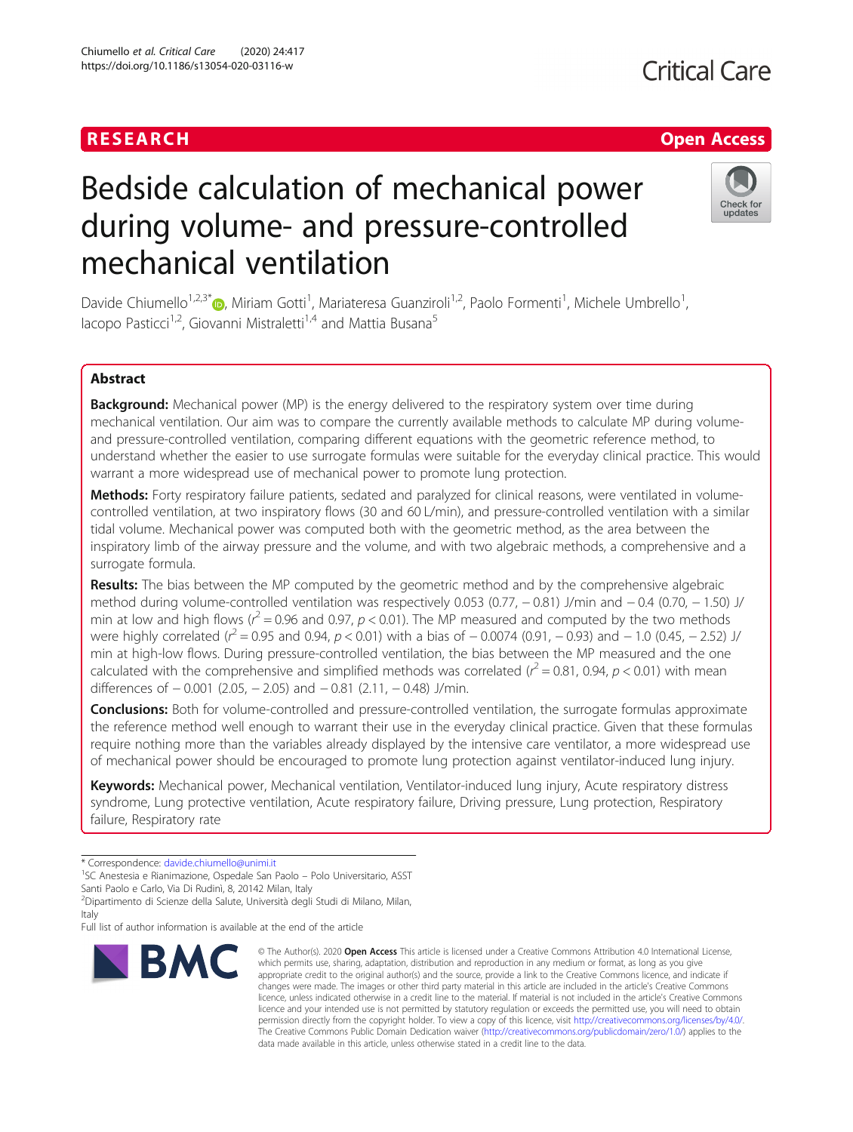# Bedside calculation of mechanical power during volume- and pressure-controlled mechanical ventilation

Davide Chiumello<sup>1,2,3[\\*](http://orcid.org/0000-0001-9260-3930)</sup>®, Miriam Gotti<sup>1</sup>, Mariateresa Guanziroli<sup>1,2</sup>, Paolo Formenti<sup>1</sup>, Michele Umbrello<sup>1</sup> , lacopo Pasticci<sup>1,2</sup>, Giovanni Mistraletti<sup>1,4</sup> and Mattia Busana<sup>5</sup>

# Abstract

**Background:** Mechanical power (MP) is the energy delivered to the respiratory system over time during mechanical ventilation. Our aim was to compare the currently available methods to calculate MP during volumeand pressure-controlled ventilation, comparing different equations with the geometric reference method, to understand whether the easier to use surrogate formulas were suitable for the everyday clinical practice. This would warrant a more widespread use of mechanical power to promote lung protection.

Methods: Forty respiratory failure patients, sedated and paralyzed for clinical reasons, were ventilated in volumecontrolled ventilation, at two inspiratory flows (30 and 60 L/min), and pressure-controlled ventilation with a similar tidal volume. Mechanical power was computed both with the geometric method, as the area between the inspiratory limb of the airway pressure and the volume, and with two algebraic methods, a comprehensive and a surrogate formula.

Results: The bias between the MP computed by the geometric method and by the comprehensive algebraic method during volume-controlled ventilation was respectively 0.053 (0.77, − 0.81) J/min and − 0.4 (0.70, − 1.50) J/ min at low and high flows ( $r^2$  = 0.96 and 0.97, p < 0.01). The MP measured and computed by the two methods were highly correlated ( $r^2$  = 0.95 and 0.94, p < 0.01) with a bias of  $-$  0.0074 (0.91,  $-$  0.93) and  $-$  1.0 (0.45,  $-$  2.52) J/ min at high-low flows. During pressure-controlled ventilation, the bias between the MP measured and the one calculated with the comprehensive and simplified methods was correlated ( $r^2$  = 0.81, 0.94, p < 0.01) with mean differences of  $-0.001$  (2.05,  $-2.05$ ) and  $-0.81$  (2.11,  $-0.48$ ) J/min.

**Conclusions:** Both for volume-controlled and pressure-controlled ventilation, the surrogate formulas approximate the reference method well enough to warrant their use in the everyday clinical practice. Given that these formulas require nothing more than the variables already displayed by the intensive care ventilator, a more widespread use of mechanical power should be encouraged to promote lung protection against ventilator-induced lung injury.

Keywords: Mechanical power, Mechanical ventilation, Ventilator-induced lung injury, Acute respiratory distress syndrome, Lung protective ventilation, Acute respiratory failure, Driving pressure, Lung protection, Respiratory failure, Respiratory rate

\* Correspondence: [davide.chiumello@unimi.it](mailto:davide.chiumello@unimi.it) <sup>1</sup>

<sup>1</sup>SC Anestesia e Rianimazione, Ospedale San Paolo – Polo Universitario, ASST

Santi Paolo e Carlo, Via Di Rudinì, 8, 20142 Milan, Italy

**BMC** 

2 Dipartimento di Scienze della Salute, Università degli Studi di Milano, Milan, Italy

Full list of author information is available at the end of the article

#### © The Author(s), 2020 **Open Access** This article is licensed under a Creative Commons Attribution 4.0 International License, which permits use, sharing, adaptation, distribution and reproduction in any medium or format, as long as you give appropriate credit to the original author(s) and the source, provide a link to the Creative Commons licence, and indicate if changes were made. The images or other third party material in this article are included in the article's Creative Commons licence, unless indicated otherwise in a credit line to the material. If material is not included in the article's Creative Commons licence and your intended use is not permitted by statutory regulation or exceeds the permitted use, you will need to obtain permission directly from the copyright holder. To view a copy of this licence, visit [http://creativecommons.org/licenses/by/4.0/.](http://creativecommons.org/licenses/by/4.0/) The Creative Commons Public Domain Dedication waiver [\(http://creativecommons.org/publicdomain/zero/1.0/](http://creativecommons.org/publicdomain/zero/1.0/)) applies to the data made available in this article, unless otherwise stated in a credit line to the data.



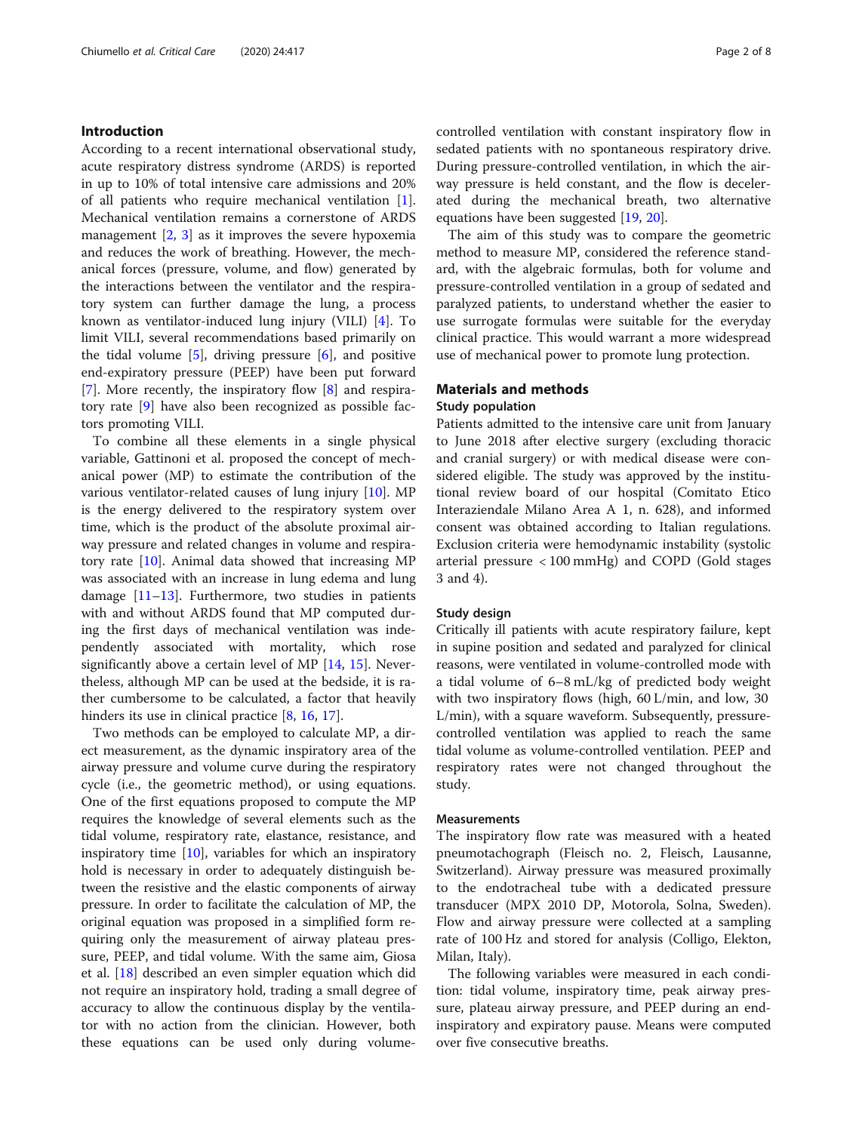# Introduction

According to a recent international observational study, acute respiratory distress syndrome (ARDS) is reported in up to 10% of total intensive care admissions and 20% of all patients who require mechanical ventilation [\[1](#page-6-0)]. Mechanical ventilation remains a cornerstone of ARDS management [\[2](#page-6-0), [3\]](#page-6-0) as it improves the severe hypoxemia and reduces the work of breathing. However, the mechanical forces (pressure, volume, and flow) generated by the interactions between the ventilator and the respiratory system can further damage the lung, a process known as ventilator-induced lung injury (VILI) [\[4](#page-6-0)]. To limit VILI, several recommendations based primarily on the tidal volume  $[5]$  $[5]$  $[5]$ , driving pressure  $[6]$  $[6]$ , and positive end-expiratory pressure (PEEP) have been put forward [[7\]](#page-6-0). More recently, the inspiratory flow [\[8](#page-6-0)] and respiratory rate [[9\]](#page-6-0) have also been recognized as possible factors promoting VILI.

To combine all these elements in a single physical variable, Gattinoni et al. proposed the concept of mechanical power (MP) to estimate the contribution of the various ventilator-related causes of lung injury [\[10\]](#page-6-0). MP is the energy delivered to the respiratory system over time, which is the product of the absolute proximal airway pressure and related changes in volume and respiratory rate [\[10](#page-6-0)]. Animal data showed that increasing MP was associated with an increase in lung edema and lung damage  $[11-13]$  $[11-13]$  $[11-13]$ . Furthermore, two studies in patients with and without ARDS found that MP computed during the first days of mechanical ventilation was independently associated with mortality, which rose significantly above a certain level of MP [[14,](#page-6-0) [15\]](#page-6-0). Nevertheless, although MP can be used at the bedside, it is rather cumbersome to be calculated, a factor that heavily hinders its use in clinical practice [[8,](#page-6-0) [16,](#page-6-0) [17\]](#page-6-0).

Two methods can be employed to calculate MP, a direct measurement, as the dynamic inspiratory area of the airway pressure and volume curve during the respiratory cycle (i.e., the geometric method), or using equations. One of the first equations proposed to compute the MP requires the knowledge of several elements such as the tidal volume, respiratory rate, elastance, resistance, and inspiratory time  $[10]$ , variables for which an inspiratory hold is necessary in order to adequately distinguish between the resistive and the elastic components of airway pressure. In order to facilitate the calculation of MP, the original equation was proposed in a simplified form requiring only the measurement of airway plateau pressure, PEEP, and tidal volume. With the same aim, Giosa et al. [\[18](#page-6-0)] described an even simpler equation which did not require an inspiratory hold, trading a small degree of accuracy to allow the continuous display by the ventilator with no action from the clinician. However, both these equations can be used only during volumecontrolled ventilation with constant inspiratory flow in sedated patients with no spontaneous respiratory drive. During pressure-controlled ventilation, in which the airway pressure is held constant, and the flow is decelerated during the mechanical breath, two alternative equations have been suggested [\[19](#page-6-0), [20](#page-6-0)].

The aim of this study was to compare the geometric method to measure MP, considered the reference standard, with the algebraic formulas, both for volume and pressure-controlled ventilation in a group of sedated and paralyzed patients, to understand whether the easier to use surrogate formulas were suitable for the everyday clinical practice. This would warrant a more widespread use of mechanical power to promote lung protection.

# Materials and methods

#### Study population

Patients admitted to the intensive care unit from January to June 2018 after elective surgery (excluding thoracic and cranial surgery) or with medical disease were considered eligible. The study was approved by the institutional review board of our hospital (Comitato Etico Interaziendale Milano Area A 1, n. 628), and informed consent was obtained according to Italian regulations. Exclusion criteria were hemodynamic instability (systolic arterial pressure < 100 mmHg) and COPD (Gold stages 3 and 4).

#### Study design

Critically ill patients with acute respiratory failure, kept in supine position and sedated and paralyzed for clinical reasons, were ventilated in volume-controlled mode with a tidal volume of 6–8 mL/kg of predicted body weight with two inspiratory flows (high, 60 L/min, and low, 30 L/min), with a square waveform. Subsequently, pressurecontrolled ventilation was applied to reach the same tidal volume as volume-controlled ventilation. PEEP and respiratory rates were not changed throughout the study.

#### **Measurements**

The inspiratory flow rate was measured with a heated pneumotachograph (Fleisch no. 2, Fleisch, Lausanne, Switzerland). Airway pressure was measured proximally to the endotracheal tube with a dedicated pressure transducer (MPX 2010 DP, Motorola, Solna, Sweden). Flow and airway pressure were collected at a sampling rate of 100 Hz and stored for analysis (Colligo, Elekton, Milan, Italy).

The following variables were measured in each condition: tidal volume, inspiratory time, peak airway pressure, plateau airway pressure, and PEEP during an endinspiratory and expiratory pause. Means were computed over five consecutive breaths.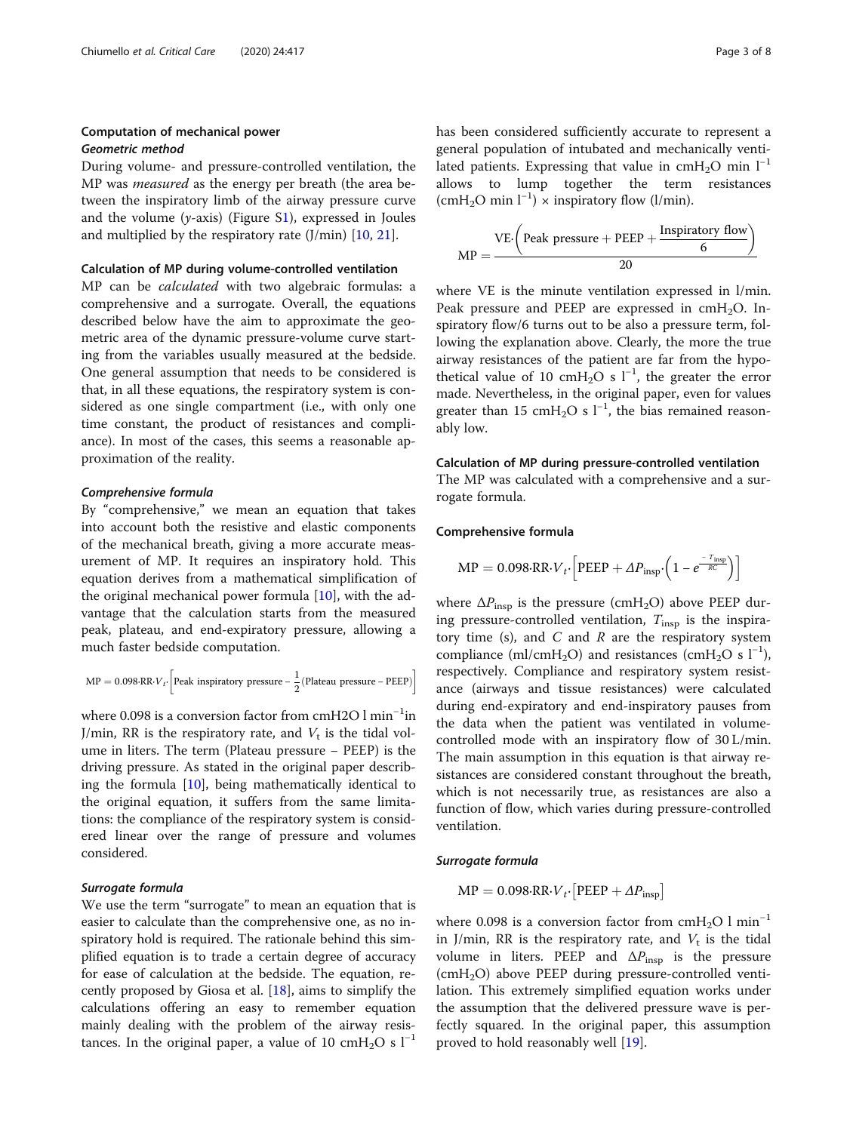# Computation of mechanical power Geometric method

During volume- and pressure-controlled ventilation, the MP was *measured* as the energy per breath (the area between the inspiratory limb of the airway pressure curve and the volume ( $y$ -axis) (Figure [S1](#page-6-0)), expressed in Joules and multiplied by the respiratory rate  $(J/min)$  [\[10](#page-6-0), [21](#page-6-0)].

#### Calculation of MP during volume-controlled ventilation

MP can be calculated with two algebraic formulas: a comprehensive and a surrogate. Overall, the equations described below have the aim to approximate the geometric area of the dynamic pressure-volume curve starting from the variables usually measured at the bedside. One general assumption that needs to be considered is that, in all these equations, the respiratory system is considered as one single compartment (i.e., with only one time constant, the product of resistances and compliance). In most of the cases, this seems a reasonable approximation of the reality.

# Comprehensive formula

By "comprehensive," we mean an equation that takes into account both the resistive and elastic components of the mechanical breath, giving a more accurate measurement of MP. It requires an inspiratory hold. This equation derives from a mathematical simplification of the original mechanical power formula  $[10]$  $[10]$ , with the advantage that the calculation starts from the measured peak, plateau, and end-expiratory pressure, allowing a much faster bedside computation.

$$
MP = 0.098 \cdot RR \cdot V_t \cdot \left[ \text{Peak inspiratory pressure} - \frac{1}{2} (\text{Plateau pressure} - \text{PEEP}) \right]
$$

where 0.098 is a conversion factor from cmH2O  $\rm l$  min $^{-1}$ in J/min, RR is the respiratory rate, and  $V_t$  is the tidal volume in liters. The term (Plateau pressure − PEEP) is the driving pressure. As stated in the original paper describing the formula [[10](#page-6-0)], being mathematically identical to the original equation, it suffers from the same limitations: the compliance of the respiratory system is considered linear over the range of pressure and volumes considered.

### Surrogate formula

We use the term "surrogate" to mean an equation that is easier to calculate than the comprehensive one, as no inspiratory hold is required. The rationale behind this simplified equation is to trade a certain degree of accuracy for ease of calculation at the bedside. The equation, recently proposed by Giosa et al. [\[18](#page-6-0)], aims to simplify the calculations offering an easy to remember equation mainly dealing with the problem of the airway resistances. In the original paper, a value of 10 cmH<sub>2</sub>O s  $l^{-1}$ 

has been considered sufficiently accurate to represent a general population of intubated and mechanically ventilated patients. Expressing that value in cmH<sub>2</sub>O min  $l^{-1}$ allows to lump together the term resistances (cmH<sub>2</sub>O min  $l^{-1}$ ) × inspiratory flow (l/min).

$$
MP = \frac{VE \cdot \left( Peak \text{ pressure} + PEEP + \frac{Inspiratory flow}{6} \right)}{20}
$$

where VE is the minute ventilation expressed in l/min. Peak pressure and PEEP are expressed in  $cmH<sub>2</sub>O$ . Inspiratory flow/6 turns out to be also a pressure term, following the explanation above. Clearly, the more the true airway resistances of the patient are far from the hypothetical value of 10 cmH<sub>2</sub>O s  $l^{-1}$ , the greater the error made. Nevertheless, in the original paper, even for values greater than 15 cmH<sub>2</sub>O s  $l^{-1}$ , the bias remained reasonably low.

#### Calculation of MP during pressure-controlled ventilation

The MP was calculated with a comprehensive and a surrogate formula.

### Comprehensive formula

$$
MP = 0.098 \cdot RR \cdot V_t \cdot \left[ P E E P + \Delta P_{insp} \cdot \left( 1 - e^{-\frac{T_{insp}}{RC}} \right) \right]
$$

where  $\Delta P_{\text{insp}}$  is the pressure (cmH<sub>2</sub>O) above PEEP during pressure-controlled ventilation,  $T_{insp}$  is the inspiratory time (s), and  $C$  and  $R$  are the respiratory system compliance (ml/cmH<sub>2</sub>O) and resistances (cmH<sub>2</sub>O s<sup>1-1</sup>), respectively. Compliance and respiratory system resistance (airways and tissue resistances) were calculated during end-expiratory and end-inspiratory pauses from the data when the patient was ventilated in volumecontrolled mode with an inspiratory flow of 30 L/min. The main assumption in this equation is that airway resistances are considered constant throughout the breath, which is not necessarily true, as resistances are also a function of flow, which varies during pressure-controlled ventilation.

#### Surrogate formula

$$
MP = 0.098 \cdot RR \cdot V_t \cdot [PEEP + \Delta P_{insp}]
$$

where 0.098 is a conversion factor from cmH<sub>2</sub>O l min<sup>-1</sup> in J/min, RR is the respiratory rate, and  $V_t$  is the tidal volume in liters. PEEP and  $\Delta P_{\text{insp}}$  is the pressure (cmH2O) above PEEP during pressure-controlled ventilation. This extremely simplified equation works under the assumption that the delivered pressure wave is perfectly squared. In the original paper, this assumption proved to hold reasonably well [[19\]](#page-6-0).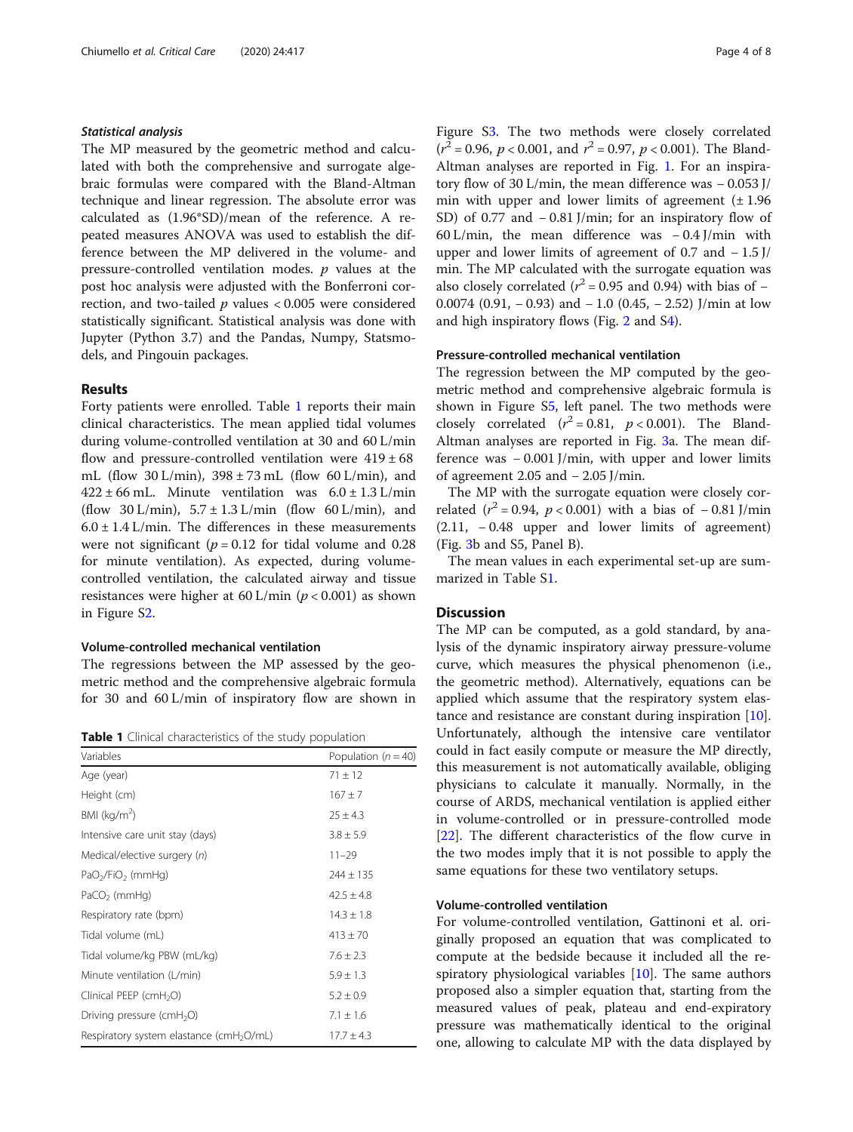# Statistical analysis

The MP measured by the geometric method and calculated with both the comprehensive and surrogate algebraic formulas were compared with the Bland-Altman technique and linear regression. The absolute error was calculated as (1.96\*SD)/mean of the reference. A repeated measures ANOVA was used to establish the difference between the MP delivered in the volume- and pressure-controlled ventilation modes.  $p$  values at the post hoc analysis were adjusted with the Bonferroni correction, and two-tailed  $p$  values < 0.005 were considered statistically significant. Statistical analysis was done with Jupyter (Python 3.7) and the Pandas, Numpy, Statsmodels, and Pingouin packages.

## Results

Forty patients were enrolled. Table 1 reports their main clinical characteristics. The mean applied tidal volumes during volume-controlled ventilation at 30 and 60 L/min flow and pressure-controlled ventilation were  $419 \pm 68$ mL (flow  $30 \text{ L/min}$ ),  $398 \pm 73 \text{ mL}$  (flow  $60 \text{ L/min}$ ), and  $422 \pm 66$  mL. Minute ventilation was  $6.0 \pm 1.3$  L/min (flow 30 L/min),  $5.7 \pm 1.3$  L/min (flow 60 L/min), and  $6.0 \pm 1.4$  L/min. The differences in these measurements were not significant ( $p = 0.12$  for tidal volume and 0.28 for minute ventilation). As expected, during volumecontrolled ventilation, the calculated airway and tissue resistances were higher at  $60 \text{ L/min}$  ( $p < 0.001$ ) as shown in Figure [S2](#page-6-0).

# Volume-controlled mechanical ventilation

The regressions between the MP assessed by the geometric method and the comprehensive algebraic formula for 30 and 60 L/min of inspiratory flow are shown in

**Table 1** Clinical characteristics of the study population

| Variables                                            | Population ( $n = 40$ ) |
|------------------------------------------------------|-------------------------|
| Age (year)                                           | $71 \pm 12$             |
| Height (cm)                                          | $167 + 7$               |
| BMI ( $kg/m2$ )                                      | $25 \pm 4.3$            |
| Intensive care unit stay (days)                      | $3.8 \pm 5.9$           |
| Medical/elective surgery (n)                         | $11 - 29$               |
| PaO <sub>2</sub> /FiO <sub>2</sub> (mmHg)            | $244 \pm 135$           |
| $PaCO2$ (mmHg)                                       | $42.5 \pm 4.8$          |
| Respiratory rate (bpm)                               | $14.3 \pm 1.8$          |
| Tidal volume (mL)                                    | $413 \pm 70$            |
| Tidal volume/kg PBW (mL/kg)                          | $7.6 \pm 2.3$           |
| Minute ventilation (L/min)                           | $5.9 \pm 1.3$           |
| Clinical PEEP (cmH <sub>2</sub> O)                   | $5.2 \pm 0.9$           |
| Driving pressure (cmH <sub>2</sub> O)                | $7.1 \pm 1.6$           |
| Respiratory system elastance (cmH <sub>2</sub> O/mL) | $17.7 \pm 4.3$          |

Figure S[3](#page-6-0). The two methods were closely correlated  $(r^2 = 0.96, p < 0.001,$  and  $r^2 = 0.97, p < 0.001$ ). The Bland-Altman analyses are reported in Fig. [1.](#page-4-0) For an inspiratory flow of 30 L/min, the mean difference was − 0.053 J/ min with upper and lower limits of agreement  $(\pm 1.96$ SD) of 0.77 and − 0.81 J/min; for an inspiratory flow of 60 L/min, the mean difference was − 0.4 J/min with upper and lower limits of agreement of 0.7 and  $-1.5$  J/ min. The MP calculated with the surrogate equation was also closely correlated ( $r^2$  = 0.95 and 0.94) with bias of – 0.0074 (0.91, − 0.93) and − 1.0 (0.45, − 2.52) J/min at low and high inspiratory flows (Fig. [2](#page-4-0) and [S4\)](#page-6-0).

#### Pressure-controlled mechanical ventilation

The regression between the MP computed by the geometric method and comprehensive algebraic formula is shown in Figure S[5,](#page-6-0) left panel. The two methods were closely correlated  $(r^2 = 0.81, p < 0.001)$ . The Bland-Altman analyses are reported in Fig. [3](#page-5-0)a. The mean difference was − 0.001 J/min, with upper and lower limits of agreement 2.05 and − 2.05 J/min.

The MP with the surrogate equation were closely correlated ( $r^2$  = 0.94,  $p$  < 0.001) with a bias of − 0.81 J/min (2.11, − 0.48 upper and lower limits of agreement) (Fig. [3](#page-5-0)b and S5, Panel B).

The mean values in each experimental set-up are summarized in Table [S1](#page-6-0).

# Discussion

The MP can be computed, as a gold standard, by analysis of the dynamic inspiratory airway pressure-volume curve, which measures the physical phenomenon (i.e., the geometric method). Alternatively, equations can be applied which assume that the respiratory system elastance and resistance are constant during inspiration [\[10](#page-6-0)]. Unfortunately, although the intensive care ventilator could in fact easily compute or measure the MP directly, this measurement is not automatically available, obliging physicians to calculate it manually. Normally, in the course of ARDS, mechanical ventilation is applied either in volume-controlled or in pressure-controlled mode [[22\]](#page-6-0). The different characteristics of the flow curve in the two modes imply that it is not possible to apply the same equations for these two ventilatory setups.

# Volume-controlled ventilation

For volume-controlled ventilation, Gattinoni et al. originally proposed an equation that was complicated to compute at the bedside because it included all the respiratory physiological variables [[10\]](#page-6-0). The same authors proposed also a simpler equation that, starting from the measured values of peak, plateau and end-expiratory pressure was mathematically identical to the original one, allowing to calculate MP with the data displayed by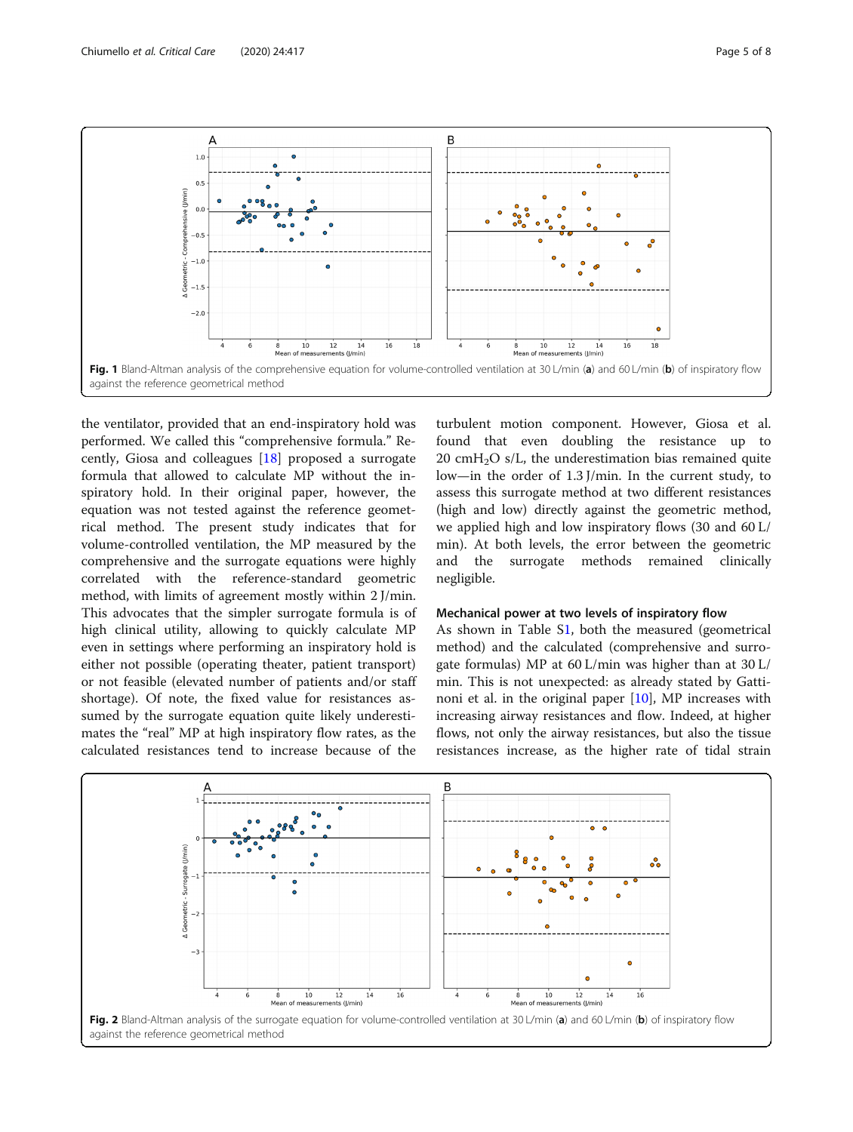<span id="page-4-0"></span>

the ventilator, provided that an end-inspiratory hold was performed. We called this "comprehensive formula." Recently, Giosa and colleagues [[18\]](#page-6-0) proposed a surrogate formula that allowed to calculate MP without the inspiratory hold. In their original paper, however, the equation was not tested against the reference geometrical method. The present study indicates that for volume-controlled ventilation, the MP measured by the comprehensive and the surrogate equations were highly correlated with the reference-standard geometric method, with limits of agreement mostly within 2 J/min. This advocates that the simpler surrogate formula is of high clinical utility, allowing to quickly calculate MP even in settings where performing an inspiratory hold is either not possible (operating theater, patient transport) or not feasible (elevated number of patients and/or staff shortage). Of note, the fixed value for resistances assumed by the surrogate equation quite likely underestimates the "real" MP at high inspiratory flow rates, as the calculated resistances tend to increase because of the

turbulent motion component. However, Giosa et al. found that even doubling the resistance up to 20 cm $H_2O$  s/L, the underestimation bias remained quite low—in the order of 1.3 J/min. In the current study, to assess this surrogate method at two different resistances (high and low) directly against the geometric method, we applied high and low inspiratory flows (30 and 60 L/ min). At both levels, the error between the geometric and the surrogate methods remained clinically negligible.

#### Mechanical power at two levels of inspiratory flow

As shown in Table S[1,](#page-6-0) both the measured (geometrical method) and the calculated (comprehensive and surrogate formulas) MP at 60 L/min was higher than at 30 L/ min. This is not unexpected: as already stated by Gattinoni et al. in the original paper  $[10]$  $[10]$ , MP increases with increasing airway resistances and flow. Indeed, at higher flows, not only the airway resistances, but also the tissue resistances increase, as the higher rate of tidal strain

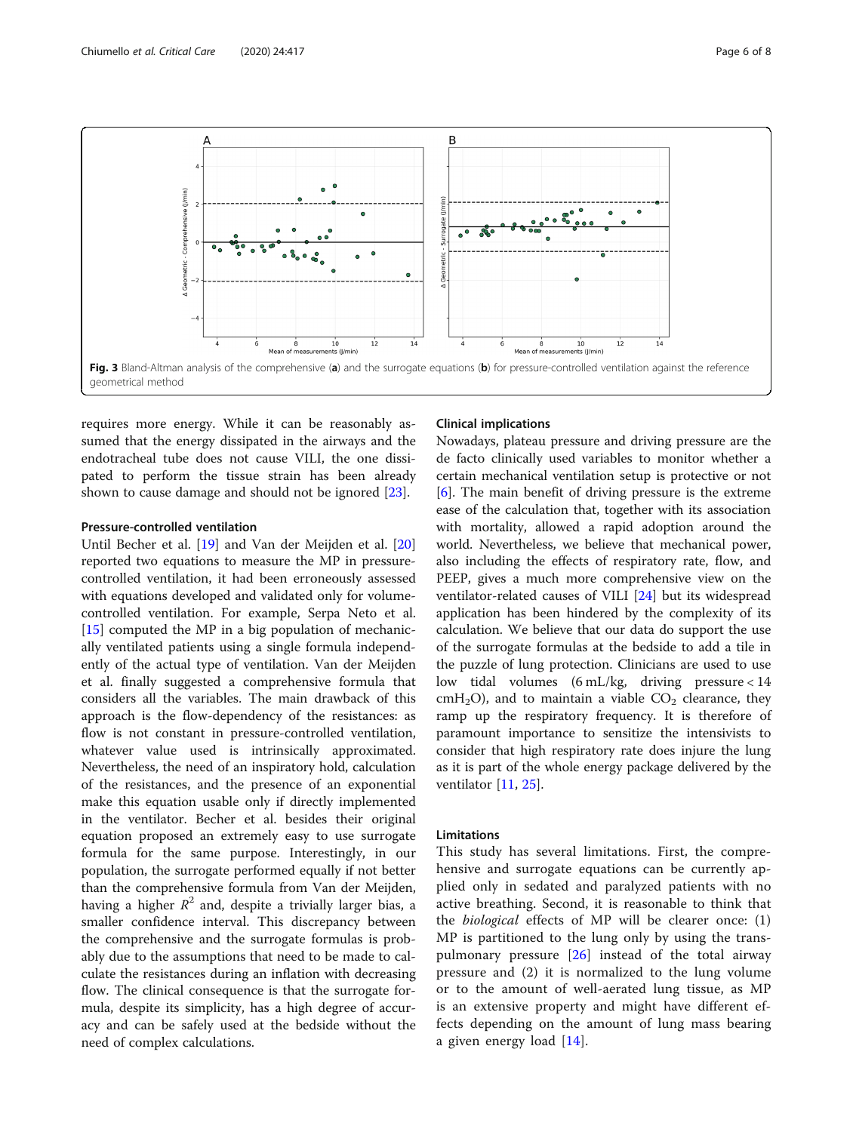<span id="page-5-0"></span>

requires more energy. While it can be reasonably assumed that the energy dissipated in the airways and the endotracheal tube does not cause VILI, the one dissipated to perform the tissue strain has been already shown to cause damage and should not be ignored [\[23](#page-6-0)].

#### Pressure-controlled ventilation

Until Becher et al. [\[19](#page-6-0)] and Van der Meijden et al. [[20](#page-6-0)] reported two equations to measure the MP in pressurecontrolled ventilation, it had been erroneously assessed with equations developed and validated only for volumecontrolled ventilation. For example, Serpa Neto et al.  $[15]$  $[15]$  computed the MP in a big population of mechanically ventilated patients using a single formula independently of the actual type of ventilation. Van der Meijden et al. finally suggested a comprehensive formula that considers all the variables. The main drawback of this approach is the flow-dependency of the resistances: as flow is not constant in pressure-controlled ventilation, whatever value used is intrinsically approximated. Nevertheless, the need of an inspiratory hold, calculation of the resistances, and the presence of an exponential make this equation usable only if directly implemented in the ventilator. Becher et al. besides their original equation proposed an extremely easy to use surrogate formula for the same purpose. Interestingly, in our population, the surrogate performed equally if not better than the comprehensive formula from Van der Meijden, having a higher  $R^2$  and, despite a trivially larger bias, a smaller confidence interval. This discrepancy between the comprehensive and the surrogate formulas is probably due to the assumptions that need to be made to calculate the resistances during an inflation with decreasing flow. The clinical consequence is that the surrogate formula, despite its simplicity, has a high degree of accuracy and can be safely used at the bedside without the need of complex calculations.

# Clinical implications

Nowadays, plateau pressure and driving pressure are the de facto clinically used variables to monitor whether a certain mechanical ventilation setup is protective or not [[6\]](#page-6-0). The main benefit of driving pressure is the extreme ease of the calculation that, together with its association with mortality, allowed a rapid adoption around the world. Nevertheless, we believe that mechanical power, also including the effects of respiratory rate, flow, and PEEP, gives a much more comprehensive view on the ventilator-related causes of VILI [[24\]](#page-6-0) but its widespread application has been hindered by the complexity of its calculation. We believe that our data do support the use of the surrogate formulas at the bedside to add a tile in the puzzle of lung protection. Clinicians are used to use low tidal volumes (6 mL/kg, driving pressure < 14 cmH<sub>2</sub>O), and to maintain a viable  $CO<sub>2</sub>$  clearance, they ramp up the respiratory frequency. It is therefore of paramount importance to sensitize the intensivists to consider that high respiratory rate does injure the lung as it is part of the whole energy package delivered by the ventilator [[11,](#page-6-0) [25\]](#page-7-0).

# Limitations

This study has several limitations. First, the comprehensive and surrogate equations can be currently applied only in sedated and paralyzed patients with no active breathing. Second, it is reasonable to think that the biological effects of MP will be clearer once: (1) MP is partitioned to the lung only by using the transpulmonary pressure  $[26]$  $[26]$  instead of the total airway pressure and (2) it is normalized to the lung volume or to the amount of well-aerated lung tissue, as MP is an extensive property and might have different effects depending on the amount of lung mass bearing a given energy load [\[14](#page-6-0)].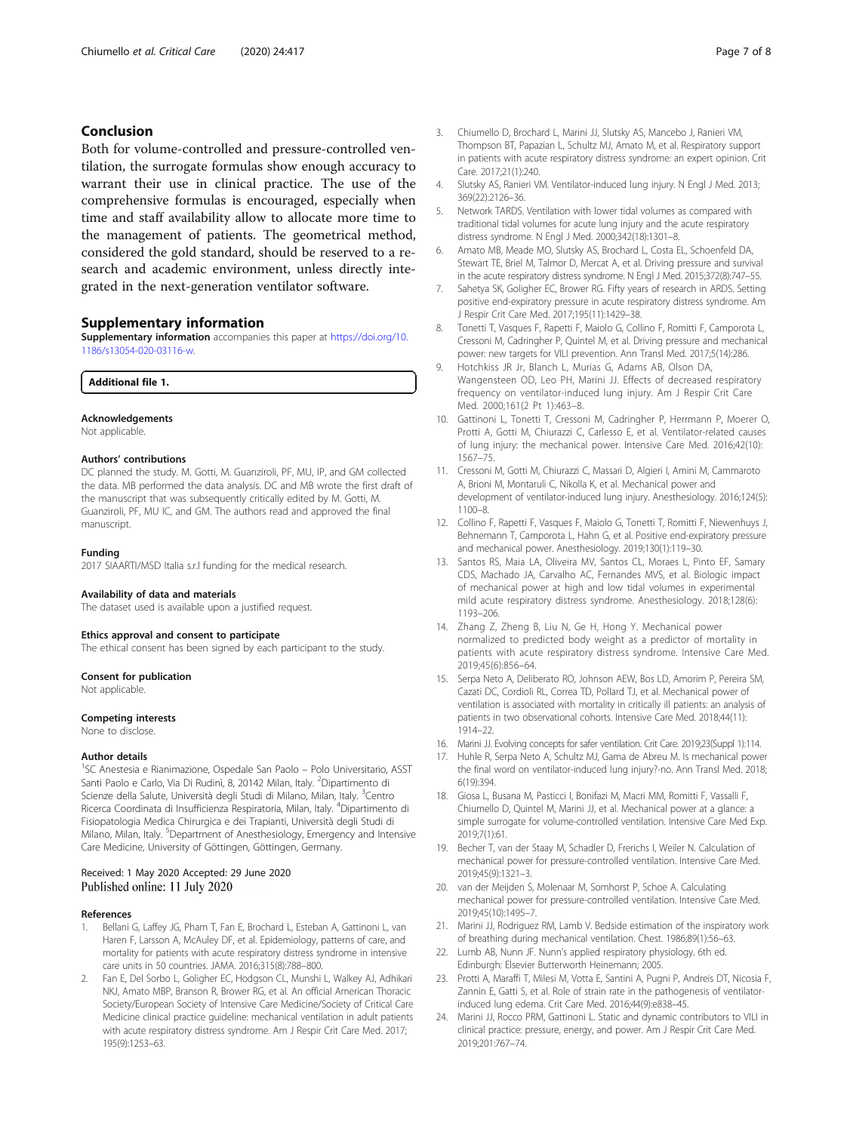# <span id="page-6-0"></span>Conclusion

Both for volume-controlled and pressure-controlled ventilation, the surrogate formulas show enough accuracy to warrant their use in clinical practice. The use of the comprehensive formulas is encouraged, especially when time and staff availability allow to allocate more time to the management of patients. The geometrical method, considered the gold standard, should be reserved to a research and academic environment, unless directly integrated in the next-generation ventilator software.

#### Supplementary information

Supplementary information accompanies this paper at [https://doi.org/10.](https://doi.org/10.1186/s13054-020-03116-w) [1186/s13054-020-03116-w](https://doi.org/10.1186/s13054-020-03116-w).

Additional file 1.

### Acknowledgements

Not applicable.

#### Authors' contributions

DC planned the study. M. Gotti, M. Guanziroli, PF, MU, IP, and GM collected the data. MB performed the data analysis. DC and MB wrote the first draft of the manuscript that was subsequently critically edited by M. Gotti, M. Guanziroli, PF, MU IC, and GM. The authors read and approved the final manuscript.

#### Funding

2017 SIAARTI/MSD Italia s.r.l funding for the medical research.

#### Availability of data and materials

The dataset used is available upon a justified request.

#### Ethics approval and consent to participate

The ethical consent has been signed by each participant to the study.

#### Consent for publication

Not applicable.

#### Competing interests

None to disclose.

#### Author details

<sup>1</sup>SC Anestesia e Rianimazione, Ospedale San Paolo – Polo Universitario, ASST Santi Paolo e Carlo, Via Di Rudinì, 8, 20142 Milan, Italy. <sup>2</sup>Dipartimento di Scienze della Salute, Università degli Studi di Milano, Milan, Italy. <sup>3</sup>Centro Ricerca Coordinata di Insufficienza Respiratoria, Milan, Italy. <sup>4</sup>Dipartimento di Fisiopatologia Medica Chirurgica e dei Trapianti, Università degli Studi di Milano, Milan, Italy. <sup>5</sup>Department of Anesthesiology, Emergency and Intensive Care Medicine, University of Göttingen, Göttingen, Germany.

# Received: 1 May 2020 Accepted: 29 June 2020 Published online: 11 July 2020

#### References

- Bellani G, Laffey JG, Pham T, Fan E, Brochard L, Esteban A, Gattinoni L, van Haren F, Larsson A, McAuley DF, et al. Epidemiology, patterns of care, and mortality for patients with acute respiratory distress syndrome in intensive care units in 50 countries. JAMA. 2016;315(8):788–800.
- 2. Fan E, Del Sorbo L, Goligher EC, Hodgson CL, Munshi L, Walkey AJ, Adhikari NKJ, Amato MBP, Branson R, Brower RG, et al. An official American Thoracic Society/European Society of Intensive Care Medicine/Society of Critical Care Medicine clinical practice guideline: mechanical ventilation in adult patients with acute respiratory distress syndrome. Am J Respir Crit Care Med. 2017; 195(9):1253–63.
- 3. Chiumello D, Brochard L, Marini JJ, Slutsky AS, Mancebo J, Ranieri VM, Thompson BT, Papazian L, Schultz MJ, Amato M, et al. Respiratory support in patients with acute respiratory distress syndrome: an expert opinion. Crit Care. 2017;21(1):240.
- 4. Slutsky AS, Ranieri VM. Ventilator-induced lung injury. N Engl J Med. 2013; 369(22):2126–36.
- 5. Network TARDS. Ventilation with lower tidal volumes as compared with traditional tidal volumes for acute lung injury and the acute respiratory distress syndrome. N Engl J Med. 2000;342(18):1301–8.
- 6. Amato MB, Meade MO, Slutsky AS, Brochard L, Costa EL, Schoenfeld DA, Stewart TE, Briel M, Talmor D, Mercat A, et al. Driving pressure and survival in the acute respiratory distress syndrome. N Engl J Med. 2015;372(8):747–55.
- 7. Sahetya SK, Goligher EC, Brower RG. Fifty years of research in ARDS. Setting positive end-expiratory pressure in acute respiratory distress syndrome. Am J Respir Crit Care Med. 2017;195(11):1429–38.
- 8. Tonetti T, Vasques F, Rapetti F, Maiolo G, Collino F, Romitti F, Camporota L, Cressoni M, Cadringher P, Quintel M, et al. Driving pressure and mechanical power: new targets for VILI prevention. Ann Transl Med. 2017;5(14):286.
- 9. Hotchkiss JR Jr, Blanch L, Murias G, Adams AB, Olson DA, Wangensteen OD, Leo PH, Marini JJ. Effects of decreased respiratory frequency on ventilator-induced lung injury. Am J Respir Crit Care Med. 2000;161(2 Pt 1):463–8.
- 10. Gattinoni L, Tonetti T, Cressoni M, Cadringher P, Herrmann P, Moerer O, Protti A, Gotti M, Chiurazzi C, Carlesso E, et al. Ventilator-related causes of lung injury: the mechanical power. Intensive Care Med. 2016;42(10): 1567–75.
- 11. Cressoni M, Gotti M, Chiurazzi C, Massari D, Algieri I, Amini M, Cammaroto A, Brioni M, Montaruli C, Nikolla K, et al. Mechanical power and development of ventilator-induced lung injury. Anesthesiology. 2016;124(5): 1100–8.
- 12. Collino F, Rapetti F, Vasques F, Maiolo G, Tonetti T, Romitti F, Niewenhuys J, Behnemann T, Camporota L, Hahn G, et al. Positive end-expiratory pressure and mechanical power. Anesthesiology. 2019;130(1):119–30.
- 13. Santos RS, Maia LA, Oliveira MV, Santos CL, Moraes L, Pinto EF, Samary CDS, Machado JA, Carvalho AC, Fernandes MVS, et al. Biologic impact of mechanical power at high and low tidal volumes in experimental mild acute respiratory distress syndrome. Anesthesiology. 2018;128(6): 1193–206.
- 14. Zhang Z, Zheng B, Liu N, Ge H, Hong Y. Mechanical power normalized to predicted body weight as a predictor of mortality in patients with acute respiratory distress syndrome. Intensive Care Med. 2019;45(6):856–64.
- 15. Serpa Neto A, Deliberato RO, Johnson AEW, Bos LD, Amorim P, Pereira SM, Cazati DC, Cordioli RL, Correa TD, Pollard TJ, et al. Mechanical power of ventilation is associated with mortality in critically ill patients: an analysis of patients in two observational cohorts. Intensive Care Med. 2018;44(11): 1914–22.
- 16. Marini JJ. Evolving concepts for safer ventilation. Crit Care. 2019;23(Suppl 1):114.
- 17. Huhle R, Serpa Neto A, Schultz MJ, Gama de Abreu M. Is mechanical power the final word on ventilator-induced lung injury?-no. Ann Transl Med. 2018; 6(19):394.
- 18. Giosa L, Busana M, Pasticci I, Bonifazi M, Macri MM, Romitti F, Vassalli F, Chiumello D, Quintel M, Marini JJ, et al. Mechanical power at a glance: a simple surrogate for volume-controlled ventilation. Intensive Care Med Exp. 2019;7(1):61.
- 19. Becher T, van der Staay M, Schadler D, Frerichs I, Weiler N. Calculation of mechanical power for pressure-controlled ventilation. Intensive Care Med. 2019;45(9):1321–3.
- 20. van der Meijden S, Molenaar M, Somhorst P, Schoe A. Calculating mechanical power for pressure-controlled ventilation. Intensive Care Med. 2019;45(10):1495–7.
- 21. Marini JJ, Rodriguez RM, Lamb V. Bedside estimation of the inspiratory work of breathing during mechanical ventilation. Chest. 1986;89(1):56–63.
- 22. Lumb AB, Nunn JF. Nunn's applied respiratory physiology. 6th ed. Edinburgh: Elsevier Butterworth Heinemann; 2005.
- 23. Protti A, Maraffi T, Milesi M, Votta E, Santini A, Pugni P, Andreis DT, Nicosia F, Zannin E, Gatti S, et al. Role of strain rate in the pathogenesis of ventilatorinduced lung edema. Crit Care Med. 2016;44(9):e838–45.
- 24. Marini JJ, Rocco PRM, Gattinoni L. Static and dynamic contributors to VILI in clinical practice: pressure, energy, and power. Am J Respir Crit Care Med. 2019;201:767–74.